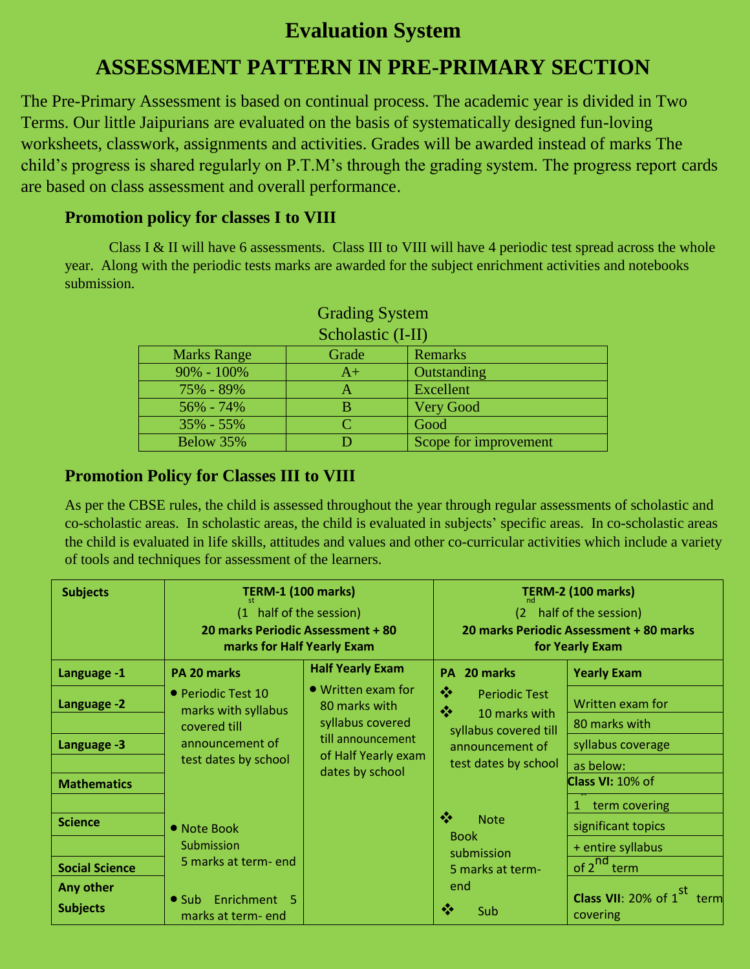## **Evaluation System**

# **ASSESSMENT PATTERN IN PRE-PRIMARY SECTION**

The Pre-Primary Assessment is based on continual process. The academic year is divided in Two Terms. Our little Jaipurians are evaluated on the basis of systematically designed fun-loving worksheets, classwork, assignments and activities. Grades will be awarded instead of marks The child's progress is shared regularly on P.T.M's through the grading system. The progress report cards are based on class assessment and overall performance.

#### **Promotion policy for classes I to VIII**

Class I & II will have 6 assessments. Class III to VIII will have 4 periodic test spread across the whole year. Along with the periodic tests marks are awarded for the subject enrichment activities and notebooks submission.

| Scholastic (I-II)  |       |                       |  |  |  |
|--------------------|-------|-----------------------|--|--|--|
| <b>Marks Range</b> | Grade | Remarks               |  |  |  |
| $90\% - 100\%$     | $A+$  | Outstanding           |  |  |  |
| 75% - 89%          |       | Excellent             |  |  |  |
| 56% - 74%          |       | <b>Very Good</b>      |  |  |  |
| $35\% - 55\%$      |       | Good                  |  |  |  |
| Below 35%          |       | Scope for improvement |  |  |  |

| <b>Grading System</b> |  |
|-----------------------|--|
| Scholastic (LII)      |  |

#### **Promotion Policy for Classes III to VIII**

As per the CBSE rules, the child is assessed throughout the year through regular assessments of scholastic and co-scholastic areas. In scholastic areas, the child is evaluated in subjects' specific areas. In co-scholastic areas the child is evaluated in life skills, attitudes and values and other co-curricular activities which include a variety of tools and techniques for assessment of the learners.

| <b>Subjects</b>              | <b>TERM-1 (100 marks)</b>                                                                            |                                                                                                                                | <b>TERM-2 (100 marks)</b>                                                             |                                                            |  |
|------------------------------|------------------------------------------------------------------------------------------------------|--------------------------------------------------------------------------------------------------------------------------------|---------------------------------------------------------------------------------------|------------------------------------------------------------|--|
|                              | (1 half of the session)<br>20 marks Periodic Assessment + 80<br>marks for Half Yearly Exam           |                                                                                                                                | (2 half of the session)<br>20 marks Periodic Assessment + 80 marks<br>for Yearly Exam |                                                            |  |
| Language -1                  | PA 20 marks                                                                                          | <b>Half Yearly Exam</b>                                                                                                        | PA 20 marks                                                                           | <b>Yearly Exam</b>                                         |  |
| Language -2                  | • Periodic Test 10<br>marks with syllabus<br>covered till<br>announcement of<br>test dates by school | $\bullet$ Written exam for<br>80 marks with<br>syllabus covered<br>till announcement<br>of Half Yearly exam<br>dates by school | ❖<br><b>Periodic Test</b><br>豪<br>10 marks with                                       | Written exam for                                           |  |
|                              |                                                                                                      |                                                                                                                                | syllabus covered till                                                                 | 80 marks with                                              |  |
| Language -3                  |                                                                                                      |                                                                                                                                | announcement of                                                                       | syllabus coverage                                          |  |
| <b>Mathematics</b>           |                                                                                                      |                                                                                                                                | test dates by school                                                                  | as below:<br><b>Class VI: 10% of</b>                       |  |
| <b>Science</b>               | • Note Book<br>Submission                                                                            |                                                                                                                                | ÷<br><b>Note</b><br><b>Book</b><br>submission                                         | 1 term covering<br>significant topics<br>+ entire syllabus |  |
| <b>Social Science</b>        | 5 marks at term- end<br>Enrichment 5<br>$\bullet$ Sub<br>marks at term-end                           |                                                                                                                                | 5 marks at term-                                                                      | of 2 <sup>nd</sup> term                                    |  |
| Any other<br><b>Subjects</b> |                                                                                                      |                                                                                                                                | end<br>❖<br>Sub                                                                       | <b>Class VII:</b> 20% of $1^{st}$ term<br>covering         |  |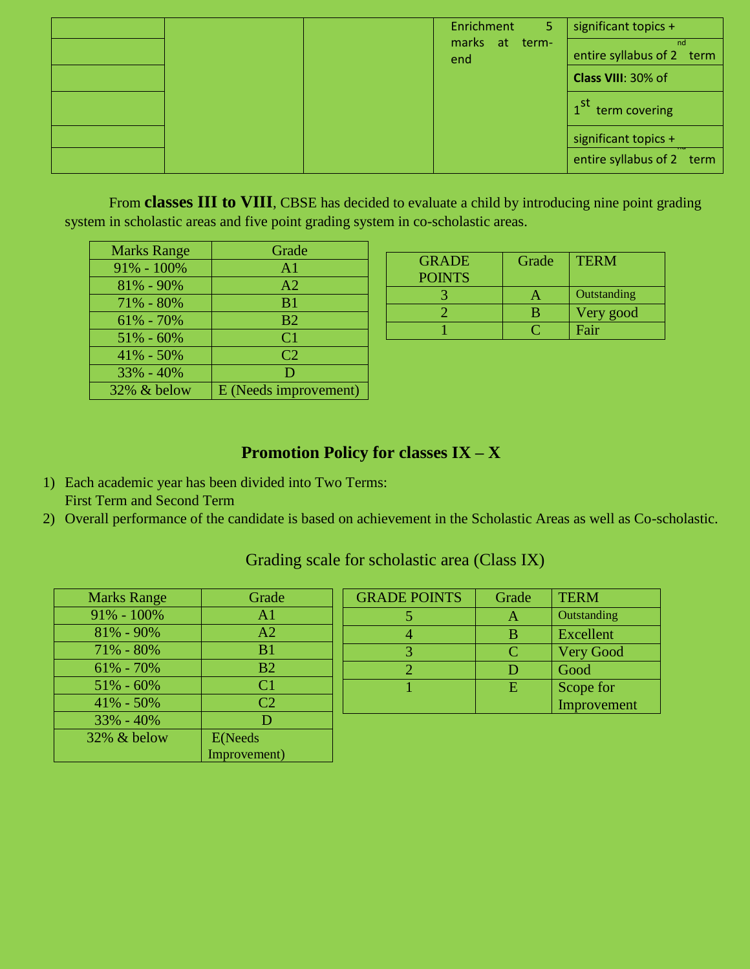|  | Enrichment            | 5 | significant topics +            |
|--|-----------------------|---|---------------------------------|
|  | marks at term-<br>end |   | nd<br>entire syllabus of 2 term |
|  |                       |   | Class VIII: 30% of              |
|  |                       |   | 1 <sup>st</sup> term covering   |
|  |                       |   | significant topics +            |
|  |                       |   | entire syllabus of 2 term       |

From **classes III to VIII**, CBSE has decided to evaluate a child by introducing nine point grading system in scholastic areas and five point grading system in co-scholastic areas.

| <b>Marks Range</b> | Grade                 |
|--------------------|-----------------------|
| $91\% - 100\%$     | A <sub>1</sub>        |
| 81% - 90%          | A <sub>2</sub>        |
| 71% - 80%          | B <sub>1</sub>        |
| $61\% - 70\%$      | B <sub>2</sub>        |
| $51\% - 60\%$      | C <sub>1</sub>        |
| 41% - 50%          | C <sub>2</sub>        |
| $33\% - 40\%$      | D                     |
| 32% & below        | E (Needs improvement) |

| <b>GRADE</b>  | Grade | <b>TERM</b> |
|---------------|-------|-------------|
| <b>POINTS</b> |       |             |
|               |       | Outstanding |
|               | В     | Very good   |
|               |       | Fair        |

### **Promotion Policy for classes IX – X**

- 1) Each academic year has been divided into Two Terms: First Term and Second Term
- 2) Overall performance of the candidate is based on achievement in the Scholastic Areas as well as Co-scholastic.

| <b>Marks Range</b> | Grade          |
|--------------------|----------------|
| $91\% - 100\%$     | A <sub>1</sub> |
| $81\% - 90\%$      | A <sub>2</sub> |
| 71% - 80%          | B <sub>1</sub> |
| $61\% - 70\%$      | B <sub>2</sub> |
| $51\% - 60\%$      | C <sub>1</sub> |
| $41\% - 50\%$      | C <sub>2</sub> |
| $33\% - 40\%$      | D              |
| 32% & below        | E(Needs        |
|                    | Improvement)   |

| <b>GRADE POINTS</b> | Grade | <b>TERM</b>      |
|---------------------|-------|------------------|
|                     |       | Outstanding      |
|                     | В     | Excellent        |
|                     | ◠     | <b>Very Good</b> |
|                     | D     | Good             |
|                     | E     | Scope for        |
|                     |       | Improvement      |

#### Grading scale for scholastic area (Class IX)